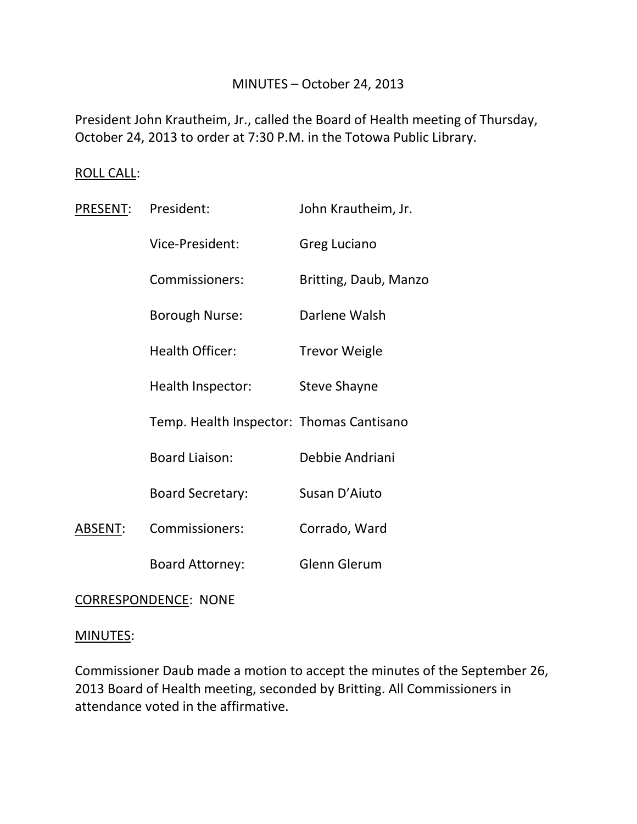# MINUTES – October 24, 2013

President John Krautheim, Jr., called the Board of Health meeting of Thursday, October 24, 2013 to order at 7:30 P.M. in the Totowa Public Library.

#### ROLL CALL:

| <u> PRESENT:</u> | President:                               | John Krautheim, Jr.   |
|------------------|------------------------------------------|-----------------------|
|                  | Vice-President:                          | <b>Greg Luciano</b>   |
|                  | Commissioners:                           | Britting, Daub, Manzo |
|                  | Borough Nurse:                           | Darlene Walsh         |
|                  | <b>Health Officer:</b>                   | <b>Trevor Weigle</b>  |
|                  | Health Inspector:                        | Steve Shayne          |
|                  | Temp. Health Inspector: Thomas Cantisano |                       |
|                  | <b>Board Liaison:</b>                    | Debbie Andriani       |
|                  | <b>Board Secretary:</b>                  | Susan D'Aiuto         |
| ABSENT:          | Commissioners:                           | Corrado, Ward         |
|                  | <b>Board Attorney:</b>                   | <b>Glenn Glerum</b>   |

CORRESPONDENCE: NONE

#### MINUTES:

Commissioner Daub made a motion to accept the minutes of the September 26, 2013 Board of Health meeting, seconded by Britting. All Commissioners in attendance voted in the affirmative.